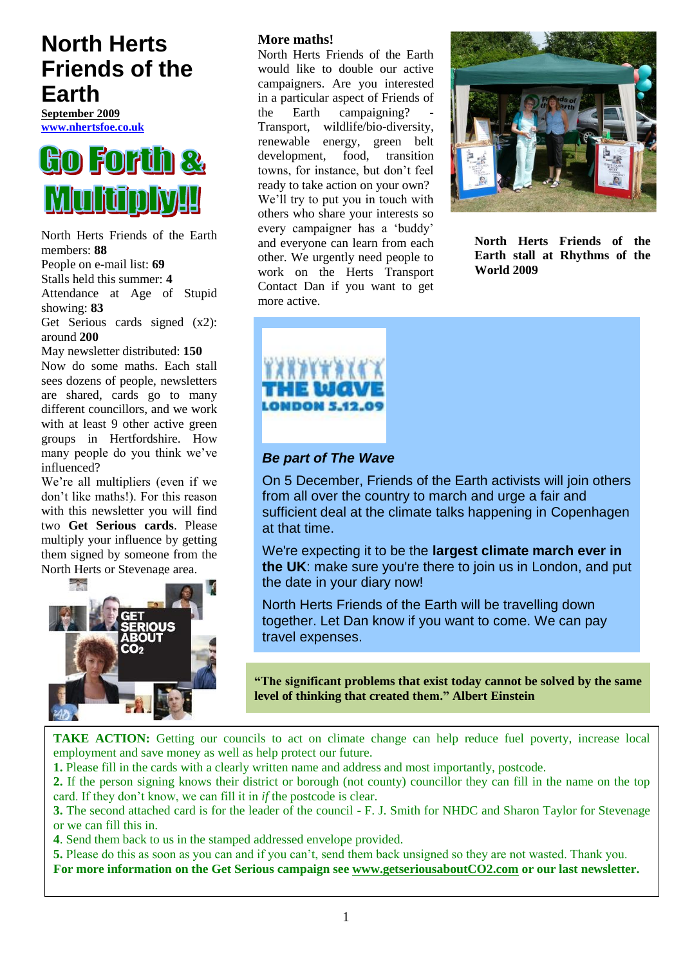# **North Herts Friends of the Earth**

**September 2009 [www.nhertsfoe.co.uk](http://www.nhertsfoe.co.uk/)**



North Herts Friends of the Earth members: **88** People on e-mail list: **69** Stalls held this summer: **4** Attendance at Age of Stupid showing: **83** Get Serious cards signed (x2): around **200** May newsletter distributed: **150**

Now do some maths. Each stall sees dozens of people, newsletters are shared, cards go to many different councillors, and we work with at least 9 other active green groups in Hertfordshire. How many people do you think we've influenced?

We're all multipliers (even if we don"t like maths!). For this reason with this newsletter you will find two **Get Serious cards**. Please multiply your influence by getting them signed by someone from the North Herts or Stevenage area.



# **More maths!**

North Herts Friends of the Earth would like to double our active campaigners. Are you interested in a particular aspect of Friends of the Earth campaigning? Transport, wildlife/bio-diversity, renewable energy, green belt development, food, transition towns, for instance, but don"t feel ready to take action on your own? We'll try to put you in touch with others who share your interests so every campaigner has a "buddy" and everyone can learn from each other. We urgently need people to work on the Herts Transport Contact Dan if you want to get more active.



**North Herts Friends of the Earth stall at Rhythms of the World 2009**



# *Be part of The Wave*

On 5 December, Friends of the Earth activists will join others from all over the country to march and urge a fair and sufficient deal at the climate talks happening in Copenhagen at that time.

We're expecting it to be the **largest climate march ever in the UK**: make sure you're there to join us in London, and put the date in your diary now!

North Herts Friends of the Earth will be travelling down together. Let Dan know if you want to come. We can pay travel expenses.

**"The significant problems that exist today cannot be solved by the same level of thinking that created them." Albert Einstein**

**TAKE ACTION:** Getting our councils to act on climate change can help reduce fuel poverty, increase local employment and save money as well as help protect our future.

**1.** Please fill in the cards with a clearly written name and address and most importantly, postcode.

**2.** If the person signing knows their district or borough (not county) councillor they can fill in the name on the top card. If they don"t know, we can fill it in *if* the postcode is clear.

**3.** The second attached card is for the leader of the council - F. J. Smith for NHDC and Sharon Taylor for Stevenage or we can fill this in.

**4**. Send them back to us in the stamped addressed envelope provided.

**5.** Please do this as soon as you can and if you can"t, send them back unsigned so they are not wasted. Thank you. **For more information on the Get Serious campaign see [www.getseriousaboutCO2.com](http://www.getseriousaboutco2.com/) or our last newsletter.**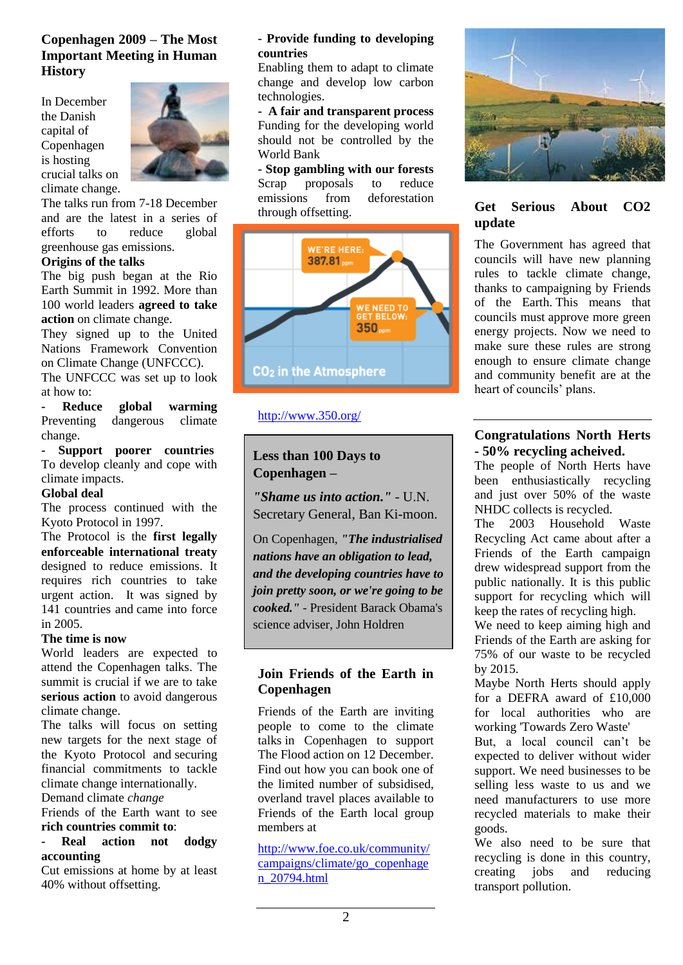# **Copenhagen 2009 – The Most Important Meeting in Human History**

In December the Danish capital of Copenhagen is hosting crucial talks on climate change.



The talks run from 7-18 December and are the latest in a series of efforts to reduce global greenhouse gas emissions.

#### **Origins of the talks**

The big push began at the Rio Earth Summit in 1992. More than 100 world leaders **agreed to take action** on climate change.

They signed up to the United Nations Framework Convention on Climate Change (UNFCCC).

The UNFCCC was set up to look at how to:

**- Reduce global warming** Preventing dangerous climate change.

**- Support poorer countries** To develop cleanly and cope with climate impacts.

#### **Global deal**

The process continued with the Kyoto Protocol in 1997.

The Protocol is the **first legally enforceable international treaty** designed to reduce emissions. It requires rich countries to take urgent action. It was signed by 141 countries and came into force in 2005.

#### **The time is now**

World leaders are expected to attend the Copenhagen talks. The summit is crucial if we are to take **serious action** to avoid dangerous climate change.

The talks will focus on setting new targets for the next stage of the Kyoto Protocol and securing financial commitments to tackle climate change internationally. Demand climate *change*

Friends of the Earth want to see **rich countries commit to**:

### **- Real action not dodgy accounting**

Cut emissions at home by at least 40% without offsetting.

#### **- Provide funding to developing countries**

Enabling them to adapt to climate change and develop low carbon technologies.

**- A fair and transparent process** Funding for the developing world should not be controlled by the World Bank

**- Stop gambling with our forests** Scrap proposals to reduce emissions from deforestation through offsetting.



http://www.350.org/

# **Less than 100 Days to Copenhagen –**

*["Shame us into action.](http://enoughsenough.cmail3.com/t/y/l/kiujdu/tyttdrad/t)"* - U.N. Secretary General, Ban Ki-moon.

On Copenhagen, *"The industrialised nations have an obligation to lead, and the developing countries have to join pretty soon, or we're going to be cooked."* - President Barack Obama's science adviser, John Holdren

# **Join Friends of the Earth in Copenhagen**

Friends of the Earth are inviting people to come to the climate talks in Copenhagen to support The Flood action on 12 December. Find out how you can book one of the limited number of subsidised, overland travel places available to Friends of the Earth local group members at

[http://www.foe.co.uk/community/](http://www.foe.co.uk/community/campaigns/climate/go_copenhagen_20794.html) [campaigns/climate/go\\_copenhage](http://www.foe.co.uk/community/campaigns/climate/go_copenhagen_20794.html) [n\\_20794.html](http://www.foe.co.uk/community/campaigns/climate/go_copenhagen_20794.html)



# **Get Serious About CO2 update**

The Government has agreed that councils will have new planning rules to tackle climate change, thanks to campaigning by Friends of the Earth. This means that councils must approve more green energy projects. Now we need to make sure these rules are strong enough to ensure climate change and community benefit are at the heart of councils' plans.

# **Congratulations North Herts - 50% recycling acheived.**

The people of North Herts have been enthusiastically recycling and just over 50% of the waste NHDC collects is recycled.

The 2003 Household Waste Recycling Act came about after a Friends of the Earth campaign drew widespread support from the public nationally. It is this public support for recycling which will keep the rates of recycling high.

We need to keep aiming high and Friends of the Earth are asking for 75% of our waste to be recycled by 2015.

Maybe North Herts should apply for a DEFRA award of £10,000 for local authorities who are working 'Towards Zero Waste'

But, a local council can"t be expected to deliver without wider support. We need businesses to be selling less waste to us and we need manufacturers to use more recycled materials to make their goods.

We also need to be sure that recycling is done in this country, creating jobs and reducing transport pollution.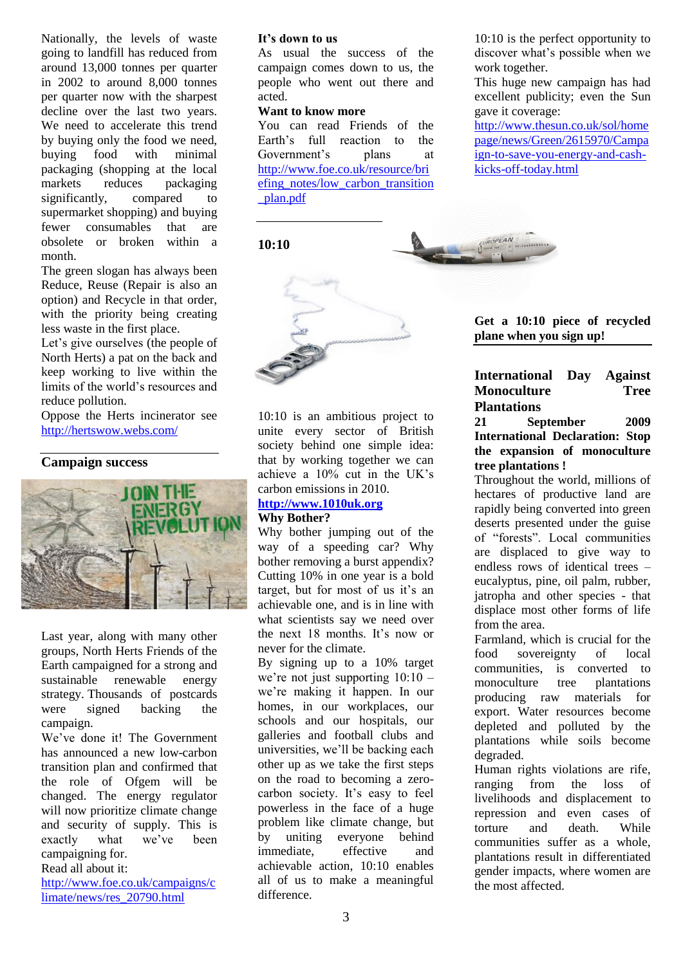Nationally, the levels of waste going to landfill has reduced from around 13,000 tonnes per quarter in 2002 to around 8,000 tonnes per quarter now with the sharpest decline over the last two years. We need to accelerate this trend by buying only the food we need, buying food with minimal packaging (shopping at the local markets reduces packaging significantly, compared to supermarket shopping) and buying fewer consumables that are obsolete or broken within a month.

The green slogan has always been Reduce, Reuse (Repair is also an option) and Recycle in that order, with the priority being creating less waste in the first place.

Let's give ourselves (the people of North Herts) a pat on the back and keep working to live within the limits of the world"s resources and reduce pollution.

Oppose the Herts incinerator see <http://hertswow.webs.com/>

### **Campaign success**



Last year, along with many other groups, North Herts Friends of the Earth campaigned for a strong and sustainable renewable energy strategy. Thousands of postcards were signed backing the campaign.

We"ve done it! The Government has announced a new low-carbon transition plan and confirmed that the role of Ofgem will be changed. The energy regulator will now prioritize climate change and security of supply. This is exactly what we've been campaigning for.

#### Read all about it:

[http://www.foe.co.uk/campaigns/c](http://www.foe.co.uk/campaigns/climate/news/res_20790.html) [limate/news/res\\_20790.html](http://www.foe.co.uk/campaigns/climate/news/res_20790.html)

#### **It's down to us**

As usual the success of the campaign comes down to us, the people who went out there and acted.

#### **Want to know more**

You can read Friends of the Earth"s full reaction to the Government"s plans at [http://www.foe.co.uk/resource/bri](http://www.foe.co.uk/resource/briefing_notes/low_carbon_transition_plan.pdf) [efing\\_notes/low\\_carbon\\_transition](http://www.foe.co.uk/resource/briefing_notes/low_carbon_transition_plan.pdf) [\\_plan.pdf](http://www.foe.co.uk/resource/briefing_notes/low_carbon_transition_plan.pdf)

10:10 is the perfect opportunity to discover what"s possible when we work together.

This huge new campaign has had excellent publicity; even the Sun gave it coverage:

[http://www.thesun.co.uk/sol/home](http://www.thesun.co.uk/sol/homepage/news/Green/2615970/Campaign-to-save-you-energy-and-cash-kicks-off-today.html) [page/news/Green/2615970/Campa](http://www.thesun.co.uk/sol/homepage/news/Green/2615970/Campaign-to-save-you-energy-and-cash-kicks-off-today.html) [ign-to-save-you-energy-and-cash](http://www.thesun.co.uk/sol/homepage/news/Green/2615970/Campaign-to-save-you-energy-and-cash-kicks-off-today.html)[kicks-off-today.html](http://www.thesun.co.uk/sol/homepage/news/Green/2615970/Campaign-to-save-you-energy-and-cash-kicks-off-today.html)

### **10:10**



10:10 is an ambitious project to unite every sector of British society behind one simple idea: that by working together we can achieve a 10% cut in the UK"s carbon emissions in 2010.

# **[http://www.1010uk.org](http://www.1010uk.org/)**

**Why Bother?**

Why bother jumping out of the way of a speeding car? Why bother removing a burst appendix? Cutting 10% in one year is a bold target, but for most of us it's an achievable one, and is in line with what scientists say we need over the next 18 months. It"s now or never for the climate.

By signing up to a 10% target we're not just supporting  $10:10$ we"re making it happen. In our homes, in our workplaces, our schools and our hospitals, our galleries and football clubs and universities, we"ll be backing each other up as we take the first steps on the road to becoming a zerocarbon society. It's easy to feel powerless in the face of a huge problem like climate change, but by uniting everyone behind immediate, effective and achievable action, 10:10 enables all of us to make a meaningful difference.

**Get a 10:10 piece of recycled plane when you sign up!**

#### **International Day Against Monoculture Tree Plantations**

#### **21 September 2009 International Declaration: Stop the expansion of monoculture tree plantations !**

Throughout the world, millions of hectares of productive land are rapidly being converted into green deserts presented under the guise of "forests". Local communities are displaced to give way to endless rows of identical trees – eucalyptus, pine, oil palm, rubber, jatropha and other species - that displace most other forms of life from the area.

Farmland, which is crucial for the food sovereignty of local communities, is converted to monoculture tree plantations producing raw materials for export. Water resources become depleted and polluted by the plantations while soils become degraded.

Human rights violations are rife, ranging from the loss of livelihoods and displacement to repression and even cases of torture and death. While communities suffer as a whole, plantations result in differentiated gender impacts, where women are the most affected.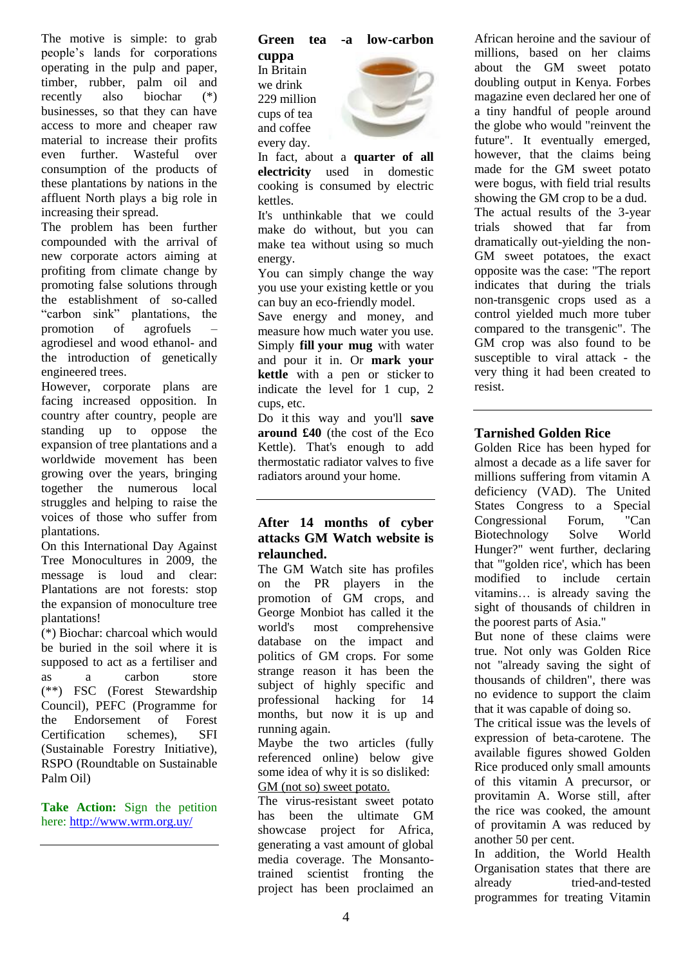The motive is simple: to grab people"s lands for corporations operating in the pulp and paper, timber, rubber, palm oil and recently also biochar (\*) businesses, so that they can have access to more and cheaper raw material to increase their profits even further. Wasteful over consumption of the products of these plantations by nations in the affluent North plays a big role in increasing their spread.

The problem has been further compounded with the arrival of new corporate actors aiming at profiting from climate change by promoting false solutions through the establishment of so-called "carbon sink" plantations, the promotion of agrofuels – agrodiesel and wood ethanol- and the introduction of genetically engineered trees.

However, corporate plans are facing increased opposition. In country after country, people are standing up to oppose the expansion of tree plantations and a worldwide movement has been growing over the years, bringing together the numerous local struggles and helping to raise the voices of those who suffer from plantations.

On this International Day Against Tree Monocultures in 2009, the message is loud and clear: Plantations are not forests: stop the expansion of monoculture tree plantations!

(\*) Biochar: charcoal which would be buried in the soil where it is supposed to act as a fertiliser and as a carbon store (\*\*) FSC (Forest Stewardship Council), PEFC (Programme for the Endorsement of Forest Certification schemes), SFI (Sustainable Forestry Initiative), RSPO (Roundtable on Sustainable Palm Oil)

**Take Action:** Sign the petition here[: http://www.wrm.org.uy/](http://www.wrm.org.uy/)

#### **Green tea -a low-carbon**

**cuppa** In Britain we drink 229 million cups of tea and coffee every day.



In fact, about a **quarter of all electricity** used in domestic cooking is consumed by electric kettles.

It's unthinkable that we could make do without, but you can make tea without using so much energy.

You can simply change the way you use your existing kettle or you can buy an eco-friendly model.

Save energy and money, and measure how much water you use. Simply **fill your mug** with water and pour it in. Or **mark your kettle** with a pen or sticker to indicate the level for 1 cup, 2 cups, etc.

Do it this way and you'll **save around £40** (the cost of the Eco Kettle). That's enough to add thermostatic radiator valves to five radiators around your home.

# **After 14 months of cyber attacks GM Watch website is relaunched.**

The GM Watch site has profiles on the PR players in the promotion of GM crops, and George Monbiot has called it the world's most comprehensive database on the impact and politics of GM crops. For some strange reason it has been the subject of highly specific and professional hacking for 14 months, but now it is up and running again.

Maybe the two articles (fully referenced online) below give some idea of why it is so disliked: GM (not so) sweet potato.

The virus-resistant sweet potato has been the ultimate GM showcase project for Africa, generating a vast amount of global media coverage. The Monsantotrained scientist fronting the project has been proclaimed an

African heroine and the saviour of millions, based on her claims about the GM sweet potato doubling output in Kenya. Forbes magazine even declared her one of a tiny handful of people around the globe who would "reinvent the future". It eventually emerged, however, that the claims being made for the GM sweet potato were bogus, with field trial results showing the GM crop to be a dud. The actual results of the 3-year trials showed that far from dramatically out-yielding the non-GM sweet potatoes, the exact opposite was the case: "The report indicates that during the trials non-transgenic crops used as a control yielded much more tuber compared to the transgenic". The GM crop was also found to be susceptible to viral attack - the very thing it had been created to resist.

# **Tarnished Golden Rice**

Golden Rice has been hyped for almost a decade as a life saver for millions suffering from vitamin A deficiency (VAD). The United States Congress to a Special Congressional Forum, "Can Biotechnology Solve World Hunger?" went further, declaring that "'golden rice', which has been modified to include certain vitamins… is already saving the sight of thousands of children in the poorest parts of Asia."

But none of these claims were true. Not only was Golden Rice not "already saving the sight of thousands of children", there was no evidence to support the claim that it was capable of doing so.

The critical issue was the levels of expression of beta-carotene. The available figures showed Golden Rice produced only small amounts of this vitamin A precursor, or provitamin A. Worse still, after the rice was cooked, the amount of provitamin A was reduced by another 50 per cent.

In addition, the World Health Organisation states that there are already tried-and-tested programmes for treating Vitamin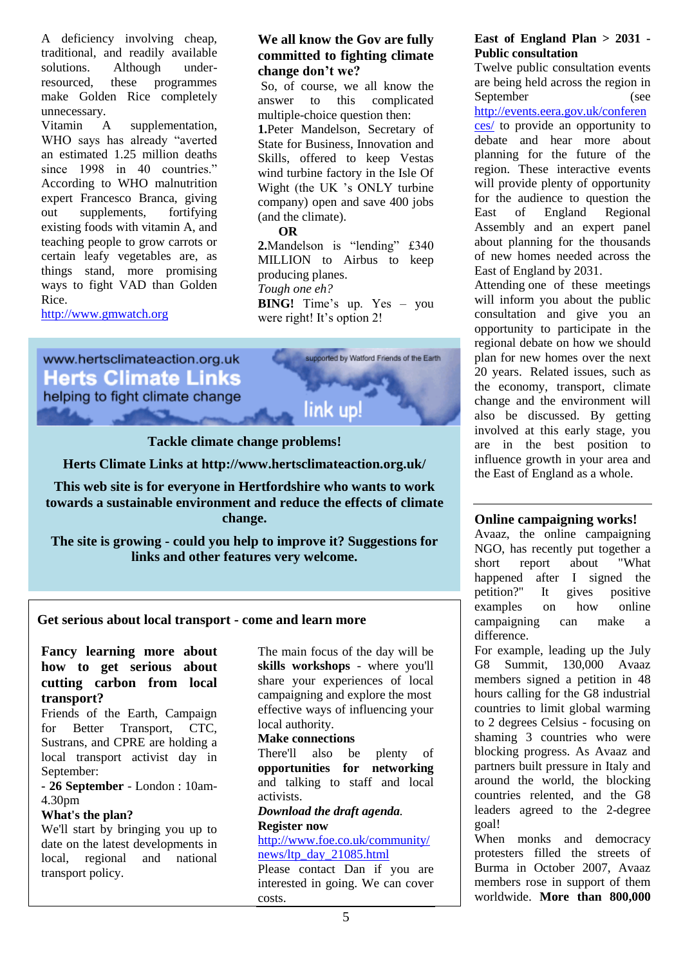A deficiency involving cheap, traditional, and readily available solutions. Although underresourced, these programmes make Golden Rice completely unnecessary.

Vitamin A supplementation, WHO says has already "averted an estimated 1.25 million deaths since 1998 in 40 countries." According to WHO malnutrition expert Francesco Branca, giving out supplements, fortifying existing foods with vitamin A, and teaching people to grow carrots or certain leafy vegetables are, as things stand, more promising ways to fight VAD than Golden Rice.

[http://www.gmwatch.org](http://www.gmwatch.org/)

# **We all know the Gov are fully committed to fighting climate change don't we?**

So, of course, we all know the answer to this complicated multiple-choice question then: **1.**Peter Mandelson, Secretary of State for Business, Innovation and Skills, offered to keep Vestas wind turbine factory in the Isle Of Wight (the UK "s ONLY turbine company) open and save 400 jobs (and the climate).

#### **OR**

**2.**Mandelson is "lending" £340 MILLION to Airbus to keep producing planes. *Tough one eh?*  **BING!** Time's up. Yes – you were right! It's option 2!



### **Tackle climate change problems!**

**Herts Climate Links at<http://www.hertsclimateaction.org.uk/>**

**This web site is for everyone in Hertfordshire who wants to work towards a sustainable environment and reduce the effects of climate change.**

**The site is growing - could you help to improve it? Suggestions for links and other features very welcome.**

#### **Get serious about local transport - come and learn more**

# **Fancy learning more about how to get serious about cutting carbon from local transport?**

Friends of the Earth, Campaign for Better Transport, CTC, Sustrans, and CPRE are holding a local transport activist day in September:

**- 26 September** - London : 10am-4.30pm

#### **What's the plan?**

We'll start by bringing you up to date on the latest developments in local, regional and national transport policy.

The main focus of the day will be **skills workshops** - where you'll share your experiences of local campaigning and explore the most effective ways of influencing your local authority.

#### **Make connections**

There'll also be plenty of **opportunities for networking** and talking to staff and local activists.

# *[Download the](http://www.foe.co.uk/resource/event_background_documents/ltp_agenda.pdf) draft agenda.*

**Register now** [http://www.foe.co.uk/community/](http://www.foe.co.uk/community/news/ltp_day_21085.html) [news/ltp\\_day\\_21085.html](http://www.foe.co.uk/community/news/ltp_day_21085.html)

Please contact Dan if you are interested in going. We can cover costs.

# **East of England Plan > 2031 - Public consultation**

Twelve public consultation events are being held across the region in September (see

[http://events.eera.gov.uk/conferen](http://events.eera.gov.uk/conferences/) [ces/](http://events.eera.gov.uk/conferences/) to provide an opportunity to debate and hear more about planning for the future of the region. These interactive events will provide plenty of opportunity for the audience to question the East of England Regional Assembly and an expert panel about planning for the thousands of new homes needed across the East of England by 2031.

Attending one of these meetings will inform you about the public consultation and give you an opportunity to participate in the regional debate on how we should plan for new homes over the next 20 years. Related issues, such as the economy, transport, climate change and the environment will also be discussed. By getting involved at this early stage, you are in the best position to influence growth in your area and the East of England as a whole.

### **Online campaigning works!**

Avaaz, the online campaigning NGO, has recently put together a short report about "What happened after I signed the petition?" It gives positive examples on how online campaigning can make a difference.

For example, leading up the July G8 Summit, 130,000 Avaaz members signed a petition in 48 hours calling for the G8 industrial countries to limit global warming to 2 degrees Celsius - focusing on shaming 3 countries who were blocking progress. As Avaaz and partners built pressure in Italy and around the world, the blocking countries relented, and the G8 leaders agreed to the 2-degree goal!

When monks and democracy protesters filled the streets of Burma in October 2007, Avaaz members rose in support of them worldwide. **More than 800,000**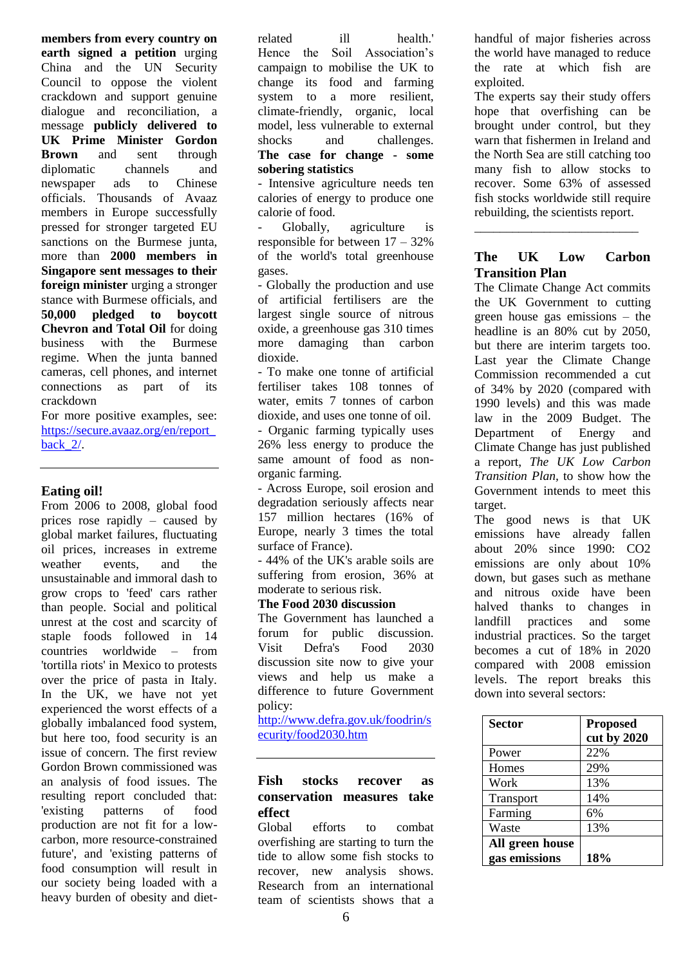**members from every country on earth signed a petition** urging China and the UN Security Council to oppose the violent crackdown and support genuine dialogue and reconciliation, a message **publicly delivered to UK Prime Minister Gordon Brown** and sent through diplomatic channels and newspaper ads to Chinese officials. Thousands of Avaaz members in Europe successfully pressed for stronger targeted EU sanctions on the Burmese junta, more than **2000 members in Singapore sent messages to their foreign minister** urging a stronger stance with Burmese officials, and **50,000 pledged to boycott Chevron and Total Oil** for doing business with the Burmese regime. When the junta banned cameras, cell phones, and internet connections as part of its crackdown

For more positive examples, see: [https://secure.avaaz.org/en/report\\_](https://secure.avaaz.org/en/report_back_2/) [back\\_2/.](https://secure.avaaz.org/en/report_back_2/)

# **Eating oil!**

From 2006 to 2008, global food prices rose rapidly – caused by global market failures, fluctuating oil prices, increases in extreme weather events and the unsustainable and immoral dash to grow crops to 'feed' cars rather than people. Social and political unrest at the cost and scarcity of staple foods followed in 14 countries worldwide – from 'tortilla riots' in Mexico to protests over the price of pasta in Italy. In the UK, we have not yet experienced the worst effects of a globally imbalanced food system, but here too, food security is an issue of concern. The first review Gordon Brown commissioned was an analysis of food issues. The resulting report concluded that: 'existing patterns of food production are not fit for a lowcarbon, more resource-constrained future', and 'existing patterns of food consumption will result in our society being loaded with a heavy burden of obesity and dietrelated ill health.' Hence the Soil Association's campaign to mobilise the UK to change its food and farming system to a more resilient, climate-friendly, organic, local model, less vulnerable to external shocks and challenges. **The case for change - some sobering statistics**

- Intensive agriculture needs ten calories of energy to produce one calorie of food.

Globally, agriculture is responsible for between 17 – 32% of the world's total greenhouse gases.

- Globally the production and use of artificial fertilisers are the largest single source of nitrous oxide, a greenhouse gas 310 times more damaging than carbon dioxide.

- To make one tonne of artificial fertiliser takes 108 tonnes of water, emits 7 tonnes of carbon dioxide, and uses one tonne of oil. - Organic farming typically uses 26% less energy to produce the same amount of food as nonorganic farming.

- Across Europe, soil erosion and degradation seriously affects near 157 million hectares (16% of Europe, nearly 3 times the total surface of France).

- 44% of the UK's arable soils are suffering from erosion, 36% at moderate to serious risk.

### **The Food 2030 discussion**

The Government has launched a forum for public discussion. Visit Defra's Food 2030 discussion site now to give your views and help us make a difference to future Government policy:

[http://www.defra.gov.uk/foodrin/s](http://www.defra.gov.uk/foodrin/security/food2030.htm) [ecurity/food2030.htm](http://www.defra.gov.uk/foodrin/security/food2030.htm)

# **Fish stocks recover as conservation measures take effect**

Global efforts to combat overfishing are starting to turn the tide to allow some fish stocks to recover, new analysis shows. Research from an international team of scientists shows that a handful of major fisheries across the world have managed to reduce the rate at which fish are exploited.

The experts say their study offers hope that overfishing can be brought under control, but they warn that fishermen in Ireland and the North Sea are still catching too many fish to allow stocks to recover. Some 63% of assessed fish stocks worldwide still require rebuilding, the scientists report.

# **The UK Low Carbon Transition Plan**

\_\_\_\_\_\_\_\_\_\_\_\_\_\_\_\_\_\_\_\_\_\_\_\_\_\_

The Climate Change Act commits the UK Government to cutting green house gas emissions – the headline is an 80% cut by 2050, but there are interim targets too. Last year the Climate Change Commission recommended a cut of 34% by 2020 (compared with 1990 levels) and this was made law in the 2009 Budget. The Department of Energy and Climate Change has just published a report, *The UK Low Carbon Transition Plan,* to show how the Government intends to meet this target.

The good news is that UK emissions have already fallen about 20% since 1990: CO2 emissions are only about 10% down, but gases such as methane and nitrous oxide have been halved thanks to changes in landfill practices and some industrial practices. So the target becomes a cut of 18% in 2020 compared with 2008 emission levels. The report breaks this down into several sectors:

| <b>Sector</b>   | <b>Proposed</b><br>cut by 2020 |
|-----------------|--------------------------------|
| Power           | 22%                            |
| Homes           | 29%                            |
| Work            | 13%                            |
| Transport       | 14%                            |
| Farming         | 6%                             |
| Waste           | 13%                            |
| All green house |                                |
| gas emissions   | 18%                            |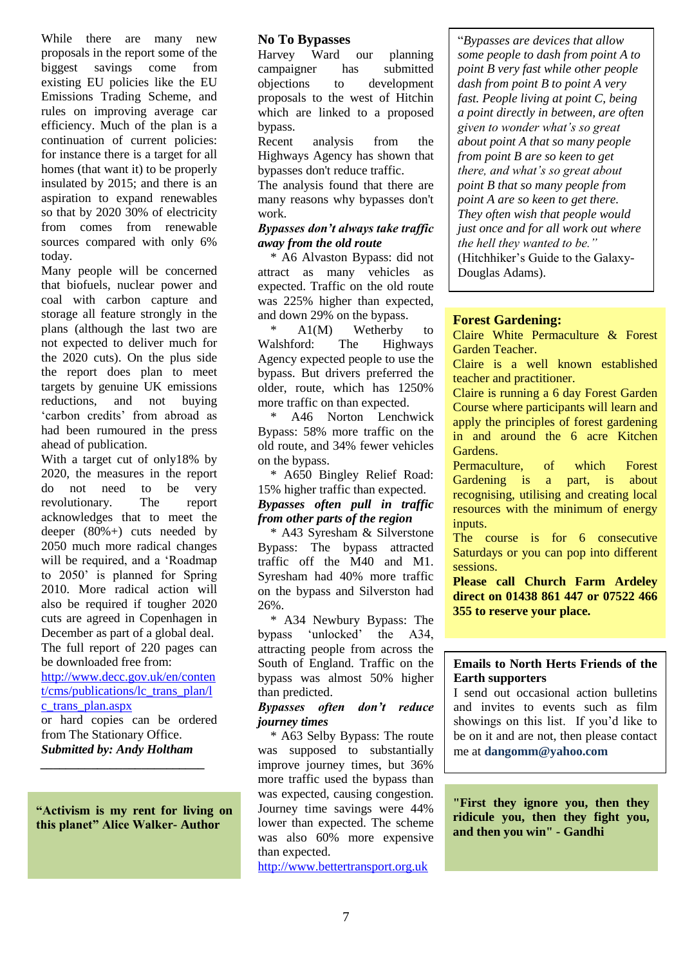While there are many new proposals in the report some of the biggest savings come from existing EU policies like the EU Emissions Trading Scheme, and rules on improving average car efficiency. Much of the plan is a continuation of current policies: for instance there is a target for all homes (that want it) to be properly insulated by 2015; and there is an aspiration to expand renewables so that by 2020 30% of electricity from comes from renewable sources compared with only 6% today.

Many people will be concerned that biofuels, nuclear power and coal with carbon capture and storage all feature strongly in the plans (although the last two are not expected to deliver much for the 2020 cuts). On the plus side the report does plan to meet targets by genuine UK emissions reductions, and not buying "carbon credits" from abroad as had been rumoured in the press ahead of publication.

With a target cut of only18% by 2020, the measures in the report do not need to be very revolutionary. The report acknowledges that to meet the deeper (80%+) cuts needed by 2050 much more radical changes will be required, and a "Roadmap to 2050" is planned for Spring 2010. More radical action will also be required if tougher 2020 cuts are agreed in Copenhagen in December as part of a global deal. The full report of 220 pages can

be downloaded free from: [http://www.decc.gov.uk/en/conten](http://www.decc.gov.uk/en/content/cms/publications/lc_trans_plan/lc_trans_plan.aspx) [t/cms/publications/lc\\_trans\\_plan/l](http://www.decc.gov.uk/en/content/cms/publications/lc_trans_plan/lc_trans_plan.aspx) [c\\_trans\\_plan.aspx](http://www.decc.gov.uk/en/content/cms/publications/lc_trans_plan/lc_trans_plan.aspx)

or hard copies can be ordered from The Stationary Office. *Submitted by: Andy Holtham*

*\_\_\_\_\_\_\_\_\_\_\_\_\_\_\_\_\_\_\_\_\_\_\_\_\_\_*

**"Activism is my rent for living on this planet" Alice Walker- Author**

#### **No To Bypasses**

Harvey Ward our planning campaigner has submitted objections to development proposals to the west of Hitchin which are linked to a proposed bypass.

Recent analysis from the Highways Agency has shown that bypasses don't reduce traffic.

The analysis found that there are many reasons why bypasses don't work.

#### *Bypasses don't always take traffic away from the old route*

 \* A6 Alvaston Bypass: did not attract as many vehicles as expected. Traffic on the old route was 225% higher than expected, and down 29% on the bypass.

 $A1(M)$  Wetherby to Walshford: The Highways Agency expected people to use the bypass. But drivers preferred the older, route, which has 1250% more traffic on than expected.

 \* A46 Norton Lenchwick Bypass: 58% more traffic on the old route, and 34% fewer vehicles on the bypass.

 \* A650 Bingley Relief Road: 15% higher traffic than expected. *Bypasses often pull in traffic from other parts of the region*

 \* A43 Syresham & Silverstone Bypass: The bypass attracted traffic off the M40 and M1. Syresham had 40% more traffic on the bypass and Silverston had 26%.

 \* A34 Newbury Bypass: The bypass "unlocked" the A34, attracting people from across the South of England. Traffic on the bypass was almost 50% higher than predicted.

#### *Bypasses often don't reduce journey times*

 \* A63 Selby Bypass: The route was supposed to substantially improve journey times, but 36% more traffic used the bypass than was expected, causing congestion. Journey time savings were 44% lower than expected. The scheme was also 60% more expensive than expected.

http://www.bettertransport.org.uk

"*Bypasses are devices that allow some people to dash from point A to point B very fast while other people dash from point B to point A very fast. People living at point C, being a point directly in between, are often given to wonder what's so great about point A that so many people from point B are so keen to get there, and what's so great about point B that so many people from point A are so keen to get there. They often wish that people would just once and for all work out where the hell they wanted to be."*  (Hitchhiker"s Guide to the Galaxy-Douglas Adams).

#### **Forest Gardening:**

Claire White Permaculture & Forest Garden Teacher.

Claire is a well known established teacher and practitioner.

Claire is running a 6 day Forest Garden Course where participants will learn and apply the principles of forest gardening in and around the 6 acre Kitchen Gardens.

Permaculture, of which Forest Gardening is a part, is about recognising, utilising and creating local resources with the minimum of energy inputs.

The course is for 6 consecutive Saturdays or you can pop into different sessions.

**Please call Church Farm Ardeley direct on 01438 861 447 or 07522 466 355 to reserve your place.**

#### **Emails to North Herts Friends of the Earth supporters**

I send out occasional action bulletins and invites to events such as film showings on this list. If you"d like to be on it and are not, then please contact me at **dangomm@yahoo.com**

**"First they ignore you, then they ridicule you, then they fight you, and then you win" - Gandhi**